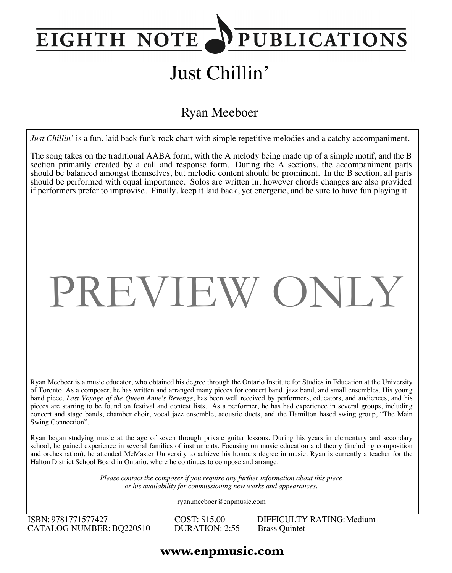### **PUBLICATIONS EIGHTH NOTE**

## Just Chillin'

#### Ryan Meeboer

*Just Chillin'* is a fun, laid back funk-rock chart with simple repetitive melodies and a catchy accompaniment.

The song takes on the traditional AABA form, with the A melody being made up of a simple motif, and the B section primarily created by a call and response form. During the A sections, the accompaniment parts should be balanced amongst themselves, but melodic content should be prominent. In the B section, all parts should be performed with equal importance. Solos are written in, however chords changes are also provided if performers prefer to improvise. Finally, keep it laid back, yet energetic, and be sure to have fun playing it.

# PREVIEW ONLY

Ryan Meeboer is a music educator, who obtained his degree through the Ontario Institute for Studies in Education at the University of Toronto. As a composer, he has written and arranged many pieces for concert band, jazz band, and small ensembles. His young band piece, *Last Voyage of the Queen Anne's Revenge*, has been well received by performers, educators, and audiences, and his pieces are starting to be found on festival and contest lists. As a performer, he has had experience in several groups, including concert and stage bands, chamber choir, vocal jazz ensemble, acoustic duets, and the Hamilton based swing group, "The Main Swing Connection".

Ryan began studying music at the age of seven through private guitar lessons. During his years in elementary and secondary school, he gained experience in several families of instruments. Focusing on music education and theory (including composition and orchestration), he attended McMaster University to achieve his honours degree in music. Ryan is currently a teacher for the Halton District School Board in Ontario, where he continues to compose and arrange.

> *Please contact the composer if you require any further information about this piece or his availability for commissioning new works and appearances.*

> > ryan.meeboer@enpmusic.com

ISBN: 9781771577427 CATALOG NUMBER:BQ220510 COST: \$15.00 DURATION: 2:55 DIFFICULTY RATING:Medium Brass Quintet

#### **www.enpmusic.com**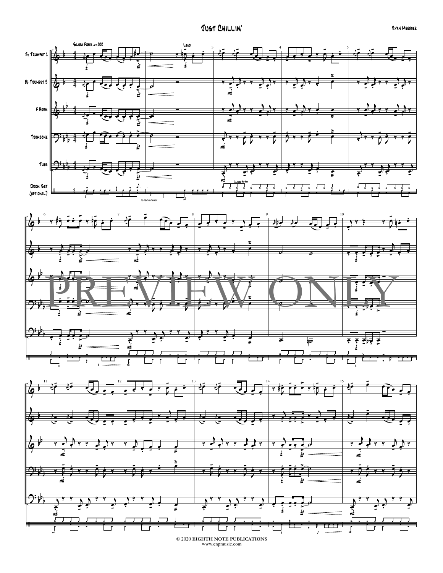Just Chillin' Ryan Meeboer



© 2020 **EIGHTH NOTE PUBLICATIONS** www.enpmusic.com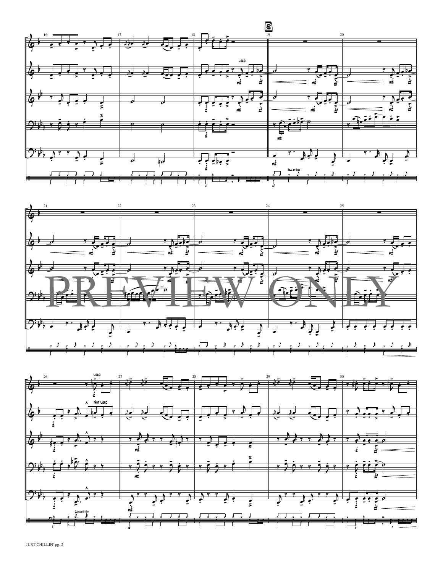



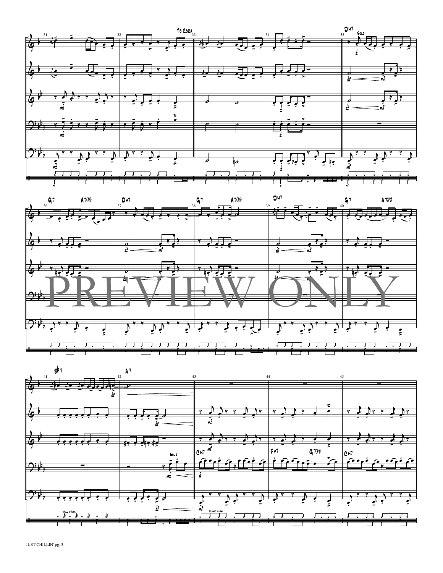





JUST CHILLIN' pg. 3